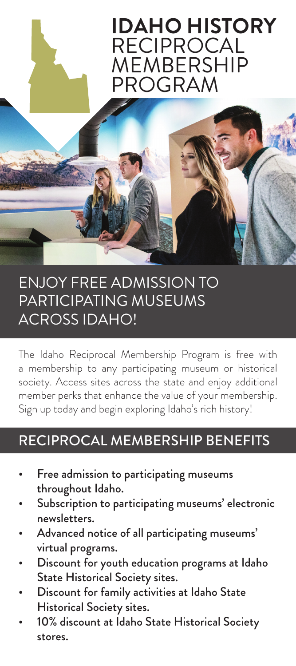# **IDAHO HISTORY** RECIPROCAL MEMBERSHIP PROGRAM

## ENJOY FREE ADMISSION TO PARTICIPATING MUSEUMS ACROSS IDAHO!

The Idaho Reciprocal Membership Program is free with a membership to any participating museum or historical society. Access sites across the state and enjoy additional member perks that enhance the value of your membership. Sign up today and begin exploring Idaho's rich history!

## RECIPROCAL MEMBERSHIP BENEFITS

- Free admission to participating museums throughout Idaho.
- Subscription to participating museums' electronic newsletters.
- Advanced notice of all participating museums' virtual programs.
- Discount for youth education programs at Idaho State Historical Society sites.
- Discount for family activities at Idaho State Historical Society sites.
- 10% discount at Idaho State Historical Society stores.